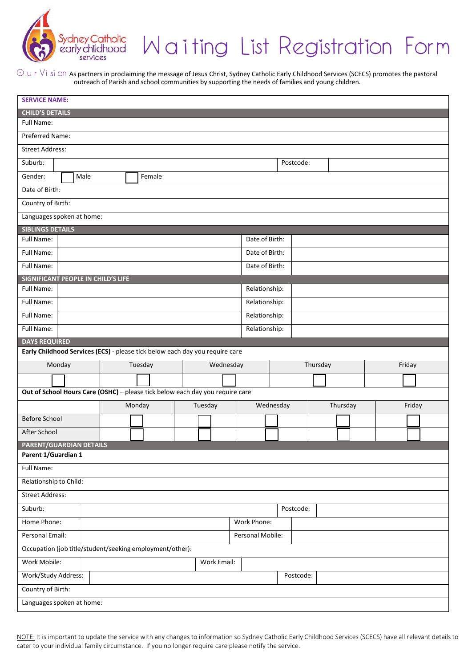

## Waiting List Registration Form

 $\odot$   $\cup$  r  $\vee$ i si  $\odot$  As partners in proclaiming the message of Jesus Christ, Sydney Catholic Early Childhood Services (SCECS) promotes the pastoral outreach of Parish and school communities by supporting the needs of families and young children.

| <b>CHILD'S DETAILS</b>                                                        |                                 |
|-------------------------------------------------------------------------------|---------------------------------|
| Full Name:                                                                    |                                 |
| Preferred Name:                                                               |                                 |
| <b>Street Address:</b>                                                        |                                 |
| Suburb:                                                                       | Postcode:                       |
| Gender:<br>Male<br>Female                                                     |                                 |
| Date of Birth:                                                                |                                 |
| Country of Birth:                                                             |                                 |
| Languages spoken at home:                                                     |                                 |
| <b>SIBLINGS DETAILS</b>                                                       |                                 |
| Full Name:                                                                    | Date of Birth:                  |
| Full Name:                                                                    | Date of Birth:                  |
| Full Name:                                                                    | Date of Birth:                  |
| <b>SIGNIFICANT PEOPLE IN CHILD'S LIFE</b>                                     |                                 |
| Full Name:                                                                    | Relationship:                   |
| Full Name:                                                                    | Relationship:                   |
| <b>Full Name:</b>                                                             | Relationship:                   |
| Full Name:                                                                    | Relationship:                   |
| <b>DAYS REQUIRED</b>                                                          |                                 |
| Early Childhood Services (ECS) - please tick below each day you require care  |                                 |
| Monday<br>Tuesday<br>Wednesday                                                | Thursday<br>Friday              |
|                                                                               |                                 |
|                                                                               |                                 |
| Out of School Hours Care (OSHC) - please tick below each day you require care |                                 |
| Monday<br>Tuesday                                                             | Wednesday<br>Thursday<br>Friday |
| <b>Before School</b>                                                          |                                 |
| After School                                                                  |                                 |
| PARENT/GUARDIAN DETAILS                                                       |                                 |
| Parent 1/Guardian 1                                                           |                                 |
| Full Name:                                                                    |                                 |
| Relationship to Child:                                                        |                                 |
| <b>Street Address:</b>                                                        |                                 |
| Suburb:                                                                       | Postcode:                       |
| Home Phone:                                                                   | Work Phone:                     |
| Personal Email:                                                               | Personal Mobile:                |
| Occupation (job title/student/seeking employment/other):                      |                                 |
| Work Mobile:<br>Work Email:                                                   |                                 |
| Work/Study Address:                                                           | Postcode:                       |
| Country of Birth:                                                             |                                 |

NOTE: It is important to update the service with any changes to information so Sydney Catholic Early Childhood Services (SCECS) have all relevant details to cater to your individual family circumstance. If you no longer require care please notify the service.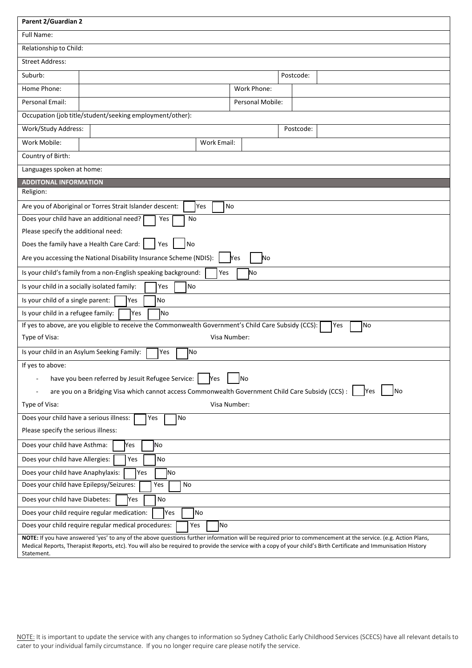| <b>Parent 2/Guardian 2</b>                                                                                             |                                                                 |                  |                                                                                                                                                                                                                                                                                                                                    |  |
|------------------------------------------------------------------------------------------------------------------------|-----------------------------------------------------------------|------------------|------------------------------------------------------------------------------------------------------------------------------------------------------------------------------------------------------------------------------------------------------------------------------------------------------------------------------------|--|
| <b>Full Name:</b>                                                                                                      |                                                                 |                  |                                                                                                                                                                                                                                                                                                                                    |  |
| Relationship to Child:                                                                                                 |                                                                 |                  |                                                                                                                                                                                                                                                                                                                                    |  |
| <b>Street Address:</b>                                                                                                 |                                                                 |                  |                                                                                                                                                                                                                                                                                                                                    |  |
| Suburb:                                                                                                                |                                                                 |                  | Postcode:                                                                                                                                                                                                                                                                                                                          |  |
| Home Phone:                                                                                                            |                                                                 | Work Phone:      |                                                                                                                                                                                                                                                                                                                                    |  |
| Personal Email:                                                                                                        |                                                                 | Personal Mobile: |                                                                                                                                                                                                                                                                                                                                    |  |
|                                                                                                                        | Occupation (job title/student/seeking employment/other):        |                  |                                                                                                                                                                                                                                                                                                                                    |  |
| Work/Study Address:                                                                                                    |                                                                 |                  | Postcode:                                                                                                                                                                                                                                                                                                                          |  |
| Work Mobile:                                                                                                           | Work Email:                                                     |                  |                                                                                                                                                                                                                                                                                                                                    |  |
| Country of Birth:                                                                                                      |                                                                 |                  |                                                                                                                                                                                                                                                                                                                                    |  |
| Languages spoken at home:                                                                                              |                                                                 |                  |                                                                                                                                                                                                                                                                                                                                    |  |
| <b>ADDITONAL INFORMATION</b>                                                                                           |                                                                 |                  |                                                                                                                                                                                                                                                                                                                                    |  |
| Religion:                                                                                                              |                                                                 |                  |                                                                                                                                                                                                                                                                                                                                    |  |
|                                                                                                                        | Are you of Aboriginal or Torres Strait Islander descent:<br>Yes | <b>No</b>        |                                                                                                                                                                                                                                                                                                                                    |  |
|                                                                                                                        | Does your child have an additional need?<br>Yes<br>No           |                  |                                                                                                                                                                                                                                                                                                                                    |  |
| Please specify the additional need:                                                                                    |                                                                 |                  |                                                                                                                                                                                                                                                                                                                                    |  |
|                                                                                                                        | Does the family have a Health Care Card:  <br>No<br>Yes         |                  |                                                                                                                                                                                                                                                                                                                                    |  |
| Are you accessing the National Disability Insurance Scheme (NDIS):<br>Yes<br>Νo                                        |                                                                 |                  |                                                                                                                                                                                                                                                                                                                                    |  |
| Is your child's family from a non-English speaking background:<br>Yes<br>No                                            |                                                                 |                  |                                                                                                                                                                                                                                                                                                                                    |  |
| Is your child in a socially isolated family:<br>Yes<br>No                                                              |                                                                 |                  |                                                                                                                                                                                                                                                                                                                                    |  |
| Is your child of a single parent:                                                                                      | No<br>Yes                                                       |                  |                                                                                                                                                                                                                                                                                                                                    |  |
| Is your child in a refugee family:<br><b>Yes</b><br>lNo                                                                |                                                                 |                  |                                                                                                                                                                                                                                                                                                                                    |  |
| If yes to above, are you eligible to receive the Commonwealth Government's Child Care Subsidy (CCS):<br>No<br>Yes      |                                                                 |                  |                                                                                                                                                                                                                                                                                                                                    |  |
| Type of Visa:                                                                                                          |                                                                 | Visa Number:     |                                                                                                                                                                                                                                                                                                                                    |  |
| Is your child in an Asylum Seeking Family:<br>Yes<br>No                                                                |                                                                 |                  |                                                                                                                                                                                                                                                                                                                                    |  |
| If yes to above:                                                                                                       |                                                                 |                  |                                                                                                                                                                                                                                                                                                                                    |  |
| have you been referred by Jesuit Refugee Service:<br><b>Yes</b><br>lNo                                                 |                                                                 |                  |                                                                                                                                                                                                                                                                                                                                    |  |
| are you on a Bridging Visa which cannot access Commonwealth Government Child Care Subsidy (CCS) :<br><b>Yes</b><br> No |                                                                 |                  |                                                                                                                                                                                                                                                                                                                                    |  |
| Type of Visa:                                                                                                          |                                                                 | Visa Number:     |                                                                                                                                                                                                                                                                                                                                    |  |
| Does your child have a serious illness:<br>No<br>Yes                                                                   |                                                                 |                  |                                                                                                                                                                                                                                                                                                                                    |  |
| Please specify the serious illness:                                                                                    |                                                                 |                  |                                                                                                                                                                                                                                                                                                                                    |  |
| Does your child have Asthma:<br>Yes<br>No                                                                              |                                                                 |                  |                                                                                                                                                                                                                                                                                                                                    |  |
| Does your child have Allergies:<br>Yes<br>No                                                                           |                                                                 |                  |                                                                                                                                                                                                                                                                                                                                    |  |
| Does your child have Anaphylaxis:<br>Yes<br><b>No</b>                                                                  |                                                                 |                  |                                                                                                                                                                                                                                                                                                                                    |  |
| Does your child have Epilepsy/Seizures:<br>No<br>Yes                                                                   |                                                                 |                  |                                                                                                                                                                                                                                                                                                                                    |  |
| Does your child have Diabetes:<br><b>Yes</b><br>No                                                                     |                                                                 |                  |                                                                                                                                                                                                                                                                                                                                    |  |
| Does your child require regular medication:<br>Yes<br>No                                                               |                                                                 |                  |                                                                                                                                                                                                                                                                                                                                    |  |
| <b>No</b><br>Does your child require regular medical procedures:<br>Yes                                                |                                                                 |                  |                                                                                                                                                                                                                                                                                                                                    |  |
| Statement.                                                                                                             |                                                                 |                  | NOTE: If you have answered 'yes' to any of the above questions further information will be required prior to commencement at the service. (e.g. Action Plans,<br>Medical Reports, Therapist Reports, etc). You will also be required to provide the service with a copy of your child's Birth Certificate and Immunisation History |  |